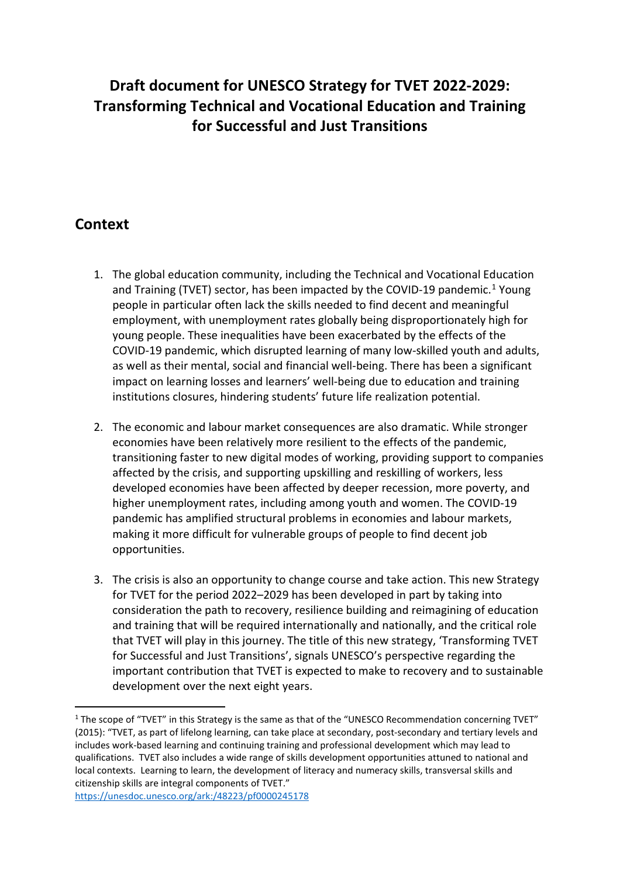# **Draft document for UNESCO Strategy for TVET 2022-2029: Transforming Technical and Vocational Education and Training for Successful and Just Transitions**

# **Context**

- 1. The global education community, including the Technical and Vocational Education and Training (TVET) sector, has been impacted by the COVID-[1](#page-0-0)9 pandemic.<sup>1</sup> Young people in particular often lack the skills needed to find decent and meaningful employment, with unemployment rates globally being disproportionately high for young people. These inequalities have been exacerbated by the effects of the COVID-19 pandemic, which disrupted learning of many low-skilled youth and adults, as well as their mental, social and financial well-being. There has been a significant impact on learning losses and learners' well-being due to education and training institutions closures, hindering students' future life realization potential.
- 2. The economic and labour market consequences are also dramatic. While stronger economies have been relatively more resilient to the effects of the pandemic, transitioning faster to new digital modes of working, providing support to companies affected by the crisis, and supporting upskilling and reskilling of workers, less developed economies have been affected by deeper recession, more poverty, and higher unemployment rates, including among youth and women. The COVID-19 pandemic has amplified structural problems in economies and labour markets, making it more difficult for vulnerable groups of people to find decent job opportunities.
- 3. The crisis is also an opportunity to change course and take action. This new Strategy for TVET for the period 2022–2029 has been developed in part by taking into consideration the path to recovery, resilience building and reimagining of education and training that will be required internationally and nationally, and the critical role that TVET will play in this journey. The title of this new strategy, 'Transforming TVET for Successful and Just Transitions', signals UNESCO's perspective regarding the important contribution that TVET is expected to make to recovery and to sustainable development over the next eight years.

<span id="page-0-0"></span><sup>1</sup> The scope of "TVET" in this Strategy is the same as that of the "UNESCO Recommendation concerning TVET" (2015): "TVET, as part of lifelong learning, can take place at secondary, post-secondary and tertiary levels and includes work-based learning and continuing training and professional development which may lead to qualifications. TVET also includes a wide range of skills development opportunities attuned to national and local contexts. Learning to learn, the development of literacy and numeracy skills, transversal skills and citizenship skills are integral components of TVET." <https://unesdoc.unesco.org/ark:/48223/pf0000245178>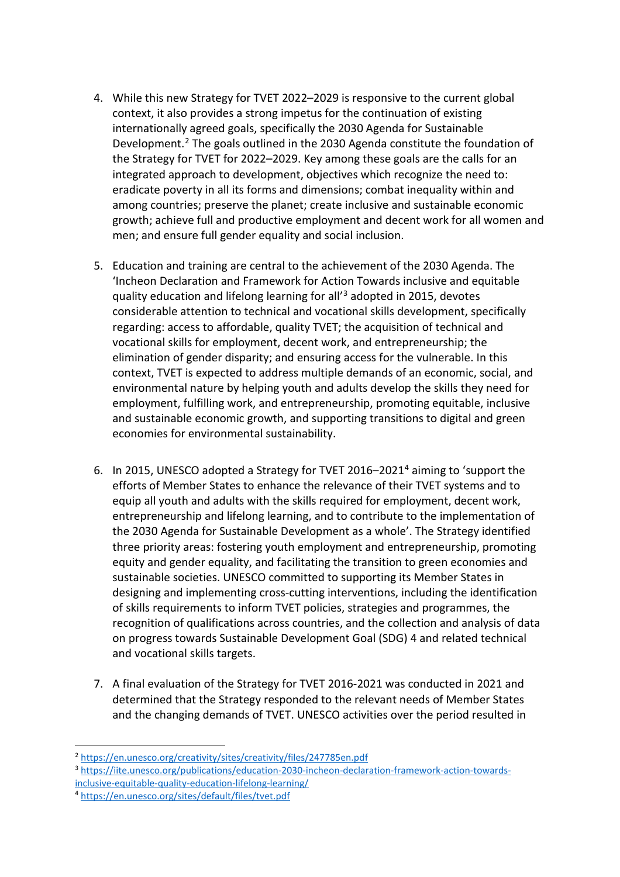- 4. While this new Strategy for TVET 2022–2029 is responsive to the current global context, it also provides a strong impetus for the continuation of existing internationally agreed goals, specifically the 2030 Agenda for Sustainable Development.[2](#page-1-0) The goals outlined in the 2030 Agenda constitute the foundation of the Strategy for TVET for 2022–2029. Key among these goals are the calls for an integrated approach to development, objectives which recognize the need to: eradicate poverty in all its forms and dimensions; combat inequality within and among countries; preserve the planet; create inclusive and sustainable economic growth; achieve full and productive employment and decent work for all women and men; and ensure full gender equality and social inclusion.
- 5. Education and training are central to the achievement of the 2030 Agenda. The 'Incheon Declaration and Framework for Action Towards inclusive and equitable quality education and lifelong learning for all'[3](#page-1-1) adopted in 2015, devotes considerable attention to technical and vocational skills development, specifically regarding: access to affordable, quality TVET; the acquisition of technical and vocational skills for employment, decent work, and entrepreneurship; the elimination of gender disparity; and ensuring access for the vulnerable. In this context, TVET is expected to address multiple demands of an economic, social, and environmental nature by helping youth and adults develop the skills they need for employment, fulfilling work, and entrepreneurship, promoting equitable, inclusive and sustainable economic growth, and supporting transitions to digital and green economies for environmental sustainability.
- 6. In 2015, UNESCO adopted a Strategy for TVET 2016–202[14](#page-1-2) aiming to 'support the efforts of Member States to enhance the relevance of their TVET systems and to equip all youth and adults with the skills required for employment, decent work, entrepreneurship and lifelong learning, and to contribute to the implementation of the 2030 Agenda for Sustainable Development as a whole'. The Strategy identified three priority areas: fostering youth employment and entrepreneurship, promoting equity and gender equality, and facilitating the transition to green economies and sustainable societies. UNESCO committed to supporting its Member States in designing and implementing cross-cutting interventions, including the identification of skills requirements to inform TVET policies, strategies and programmes, the recognition of qualifications across countries, and the collection and analysis of data on progress towards Sustainable Development Goal (SDG) 4 and related technical and vocational skills targets.
- 7. A final evaluation of the Strategy for TVET 2016-2021 was conducted in 2021 and determined that the Strategy responded to the relevant needs of Member States and the changing demands of TVET. UNESCO activities over the period resulted in

<span id="page-1-1"></span><sup>3</sup> [https://iite.unesco.org/publications/education-2030-incheon-declaration-framework-action-towards](https://iite.unesco.org/publications/education-2030-incheon-declaration-framework-action-towards-inclusive-equitable-quality-education-lifelong-learning/)[inclusive-equitable-quality-education-lifelong-learning/](https://iite.unesco.org/publications/education-2030-incheon-declaration-framework-action-towards-inclusive-equitable-quality-education-lifelong-learning/)

<span id="page-1-0"></span><sup>2</sup> <https://en.unesco.org/creativity/sites/creativity/files/247785en.pdf>

<span id="page-1-2"></span><sup>4</sup> <https://en.unesco.org/sites/default/files/tvet.pdf>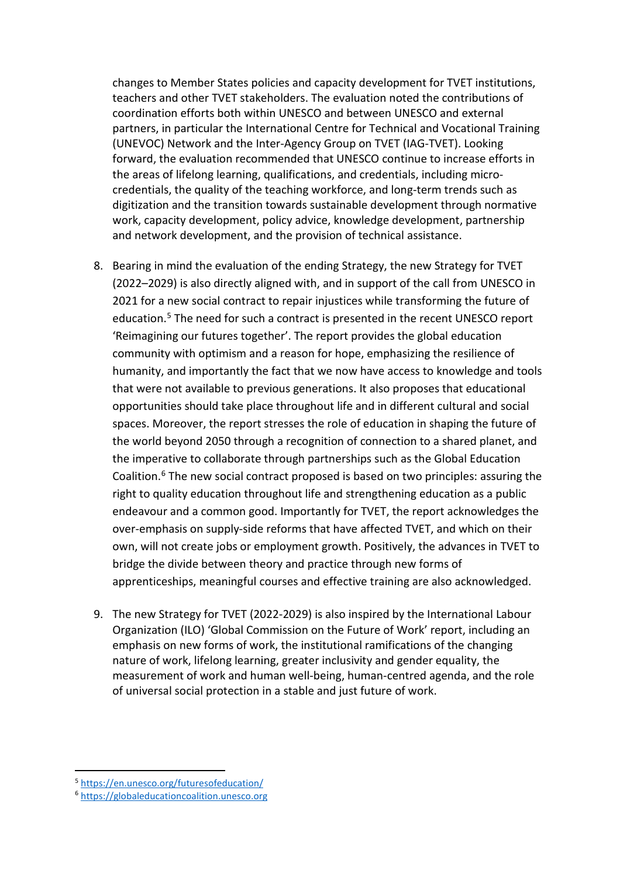changes to Member States policies and capacity development for TVET institutions, teachers and other TVET stakeholders. The evaluation noted the contributions of coordination efforts both within UNESCO and between UNESCO and external partners, in particular the International Centre for Technical and Vocational Training (UNEVOC) Network and the Inter-Agency Group on TVET (IAG-TVET). Looking forward, the evaluation recommended that UNESCO continue to increase efforts in the areas of lifelong learning, qualifications, and credentials, including microcredentials, the quality of the teaching workforce, and long-term trends such as digitization and the transition towards sustainable development through normative work, capacity development, policy advice, knowledge development, partnership and network development, and the provision of technical assistance.

- 8. Bearing in mind the evaluation of the ending Strategy, the new Strategy for TVET (2022–2029) is also directly aligned with, and in support of the call from UNESCO in 2021 for a new social contract to repair injustices while transforming the future of education.<sup>[5](#page-2-0)</sup> The need for such a contract is presented in the recent UNESCO report 'Reimagining our futures together'. The report provides the global education community with optimism and a reason for hope, emphasizing the resilience of humanity, and importantly the fact that we now have access to knowledge and tools that were not available to previous generations. It also proposes that educational opportunities should take place throughout life and in different cultural and social spaces. Moreover, the report stresses the role of education in shaping the future of the world beyond 2050 through a recognition of connection to a shared planet, and the imperative to collaborate through partnerships such as the Global Education Coalition.[6](#page-2-1) The new social contract proposed is based on two principles: assuring the right to quality education throughout life and strengthening education as a public endeavour and a common good. Importantly for TVET, the report acknowledges the over-emphasis on supply-side reforms that have affected TVET, and which on their own, will not create jobs or employment growth. Positively, the advances in TVET to bridge the divide between theory and practice through new forms of apprenticeships, meaningful courses and effective training are also acknowledged.
- 9. The new Strategy for TVET (2022-2029) is also inspired by the International Labour Organization (ILO) 'Global Commission on the Future of Work' report, including an emphasis on new forms of work, the institutional ramifications of the changing nature of work, lifelong learning, greater inclusivity and gender equality, the measurement of work and human well-being, human-centred agenda, and the role of universal social protection in a stable and just future of work.

<span id="page-2-0"></span><sup>5</sup> <https://en.unesco.org/futuresofeducation/>

<span id="page-2-1"></span><sup>6</sup> [https://globaleducationcoalition.unesco.org](https://globaleducationcoalition.unesco.org/)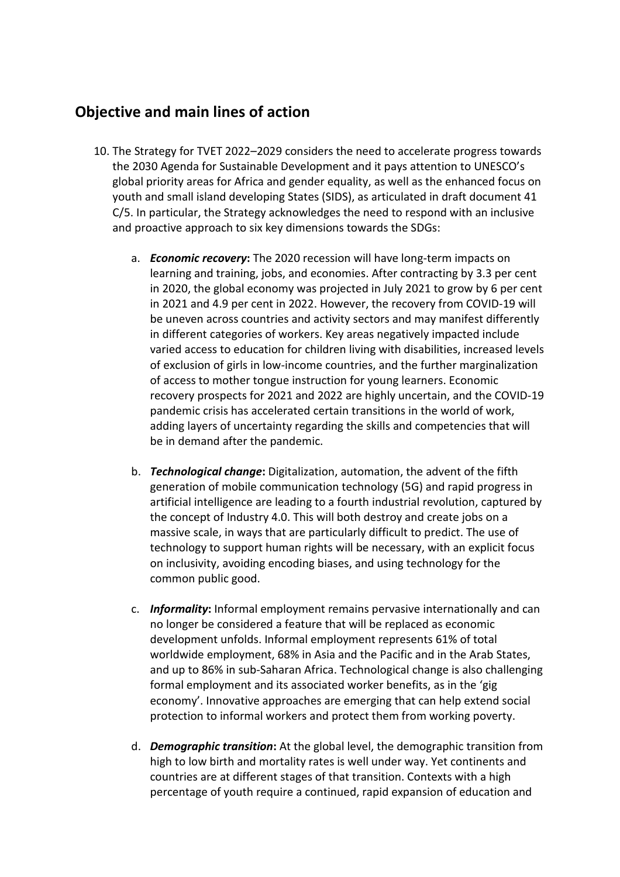## **Objective and main lines of action**

- 10. The Strategy for TVET 2022–2029 considers the need to accelerate progress towards the 2030 Agenda for Sustainable Development and it pays attention to UNESCO's global priority areas for Africa and gender equality, as well as the enhanced focus on youth and small island developing States (SIDS), as articulated in draft document 41 C/5. In particular, the Strategy acknowledges the need to respond with an inclusive and proactive approach to six key dimensions towards the SDGs:
	- a. *Economic recovery***:** The 2020 recession will have long-term impacts on learning and training, jobs, and economies. After contracting by 3.3 per cent in 2020, the global economy was projected in July 2021 to grow by 6 per cent in 2021 and 4.9 per cent in 2022. However, the recovery from COVID-19 will be uneven across countries and activity sectors and may manifest differently in different categories of workers. Key areas negatively impacted include varied access to education for children living with disabilities, increased levels of exclusion of girls in low-income countries, and the further marginalization of access to mother tongue instruction for young learners. Economic recovery prospects for 2021 and 2022 are highly uncertain, and the COVID-19 pandemic crisis has accelerated certain transitions in the world of work, adding layers of uncertainty regarding the skills and competencies that will be in demand after the pandemic.
	- b. *Technological change***:** Digitalization, automation, the advent of the fifth generation of mobile communication technology (5G) and rapid progress in artificial intelligence are leading to a fourth industrial revolution, captured by the concept of Industry 4.0. This will both destroy and create jobs on a massive scale, in ways that are particularly difficult to predict. The use of technology to support human rights will be necessary, with an explicit focus on inclusivity, avoiding encoding biases, and using technology for the common public good.
	- c. *Informality***:** Informal employment remains pervasive internationally and can no longer be considered a feature that will be replaced as economic development unfolds. Informal employment represents 61% of total worldwide employment, 68% in Asia and the Pacific and in the Arab States, and up to 86% in sub-Saharan Africa. Technological change is also challenging formal employment and its associated worker benefits, as in the 'gig economy'. Innovative approaches are emerging that can help extend social protection to informal workers and protect them from working poverty.
	- d. *Demographic transition***:** At the global level, the demographic transition from high to low birth and mortality rates is well under way. Yet continents and countries are at different stages of that transition. Contexts with a high percentage of youth require a continued, rapid expansion of education and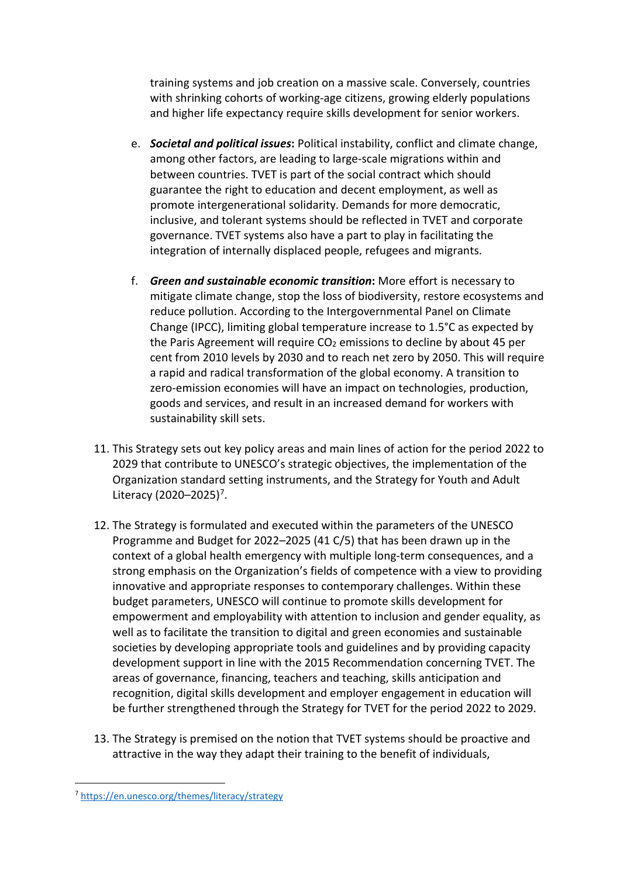training systems and job creation on a massive scale. Conversely, countries with shrinking cohorts of working-age citizens, growing elderly populations and higher life expectancy require skills development for senior workers.

- e. *Societal and political issues***:** Political instability, conflict and climate change, among other factors, are leading to large-scale migrations within and between countries. TVET is part of the social contract which should guarantee the right to education and decent employment, as well as promote intergenerational solidarity. Demands for more democratic, inclusive, and tolerant systems should be reflected in TVET and corporate governance. TVET systems also have a part to play in facilitating the integration of internally displaced people, refugees and migrants.
- f. *Green and sustainable economic transition***:** More effort is necessary to mitigate climate change, stop the loss of biodiversity, restore ecosystems and reduce pollution. According to the Intergovernmental Panel on Climate Change (IPCC), limiting global temperature increase to 1.5°C as expected by the Paris Agreement will require  $CO<sub>2</sub>$  emissions to decline by about 45 per cent from 2010 levels by 2030 and to reach net zero by 2050. This will require a rapid and radical transformation of the global economy. A transition to zero-emission economies will have an impact on technologies, production, goods and services, and result in an increased demand for workers with sustainability skill sets.
- 11. This Strategy sets out key policy areas and main lines of action for the period 2022 to 2029 that contribute to UNESCO's strategic objectives, the implementation of the Organization standard setting instruments, and the Strategy for Youth and Adult Literacy (2020–2025)<sup>[7](#page-4-0)</sup>.
- 12. The Strategy is formulated and executed within the parameters of the UNESCO Programme and Budget for 2022–2025 (41 C/5) that has been drawn up in the context of a global health emergency with multiple long-term consequences, and a strong emphasis on the Organization's fields of competence with a view to providing innovative and appropriate responses to contemporary challenges. Within these budget parameters, UNESCO will continue to promote skills development for empowerment and employability with attention to inclusion and gender equality, as well as to facilitate the transition to digital and green economies and sustainable societies by developing appropriate tools and guidelines and by providing capacity development support in line with the 2015 Recommendation concerning TVET. The areas of governance, financing, teachers and teaching, skills anticipation and recognition, digital skills development and employer engagement in education will be further strengthened through the Strategy for TVET for the period 2022 to 2029.
- 13. The Strategy is premised on the notion that TVET systems should be proactive and attractive in the way they adapt their training to the benefit of individuals,

<span id="page-4-0"></span><sup>7</sup> <https://en.unesco.org/themes/literacy/strategy>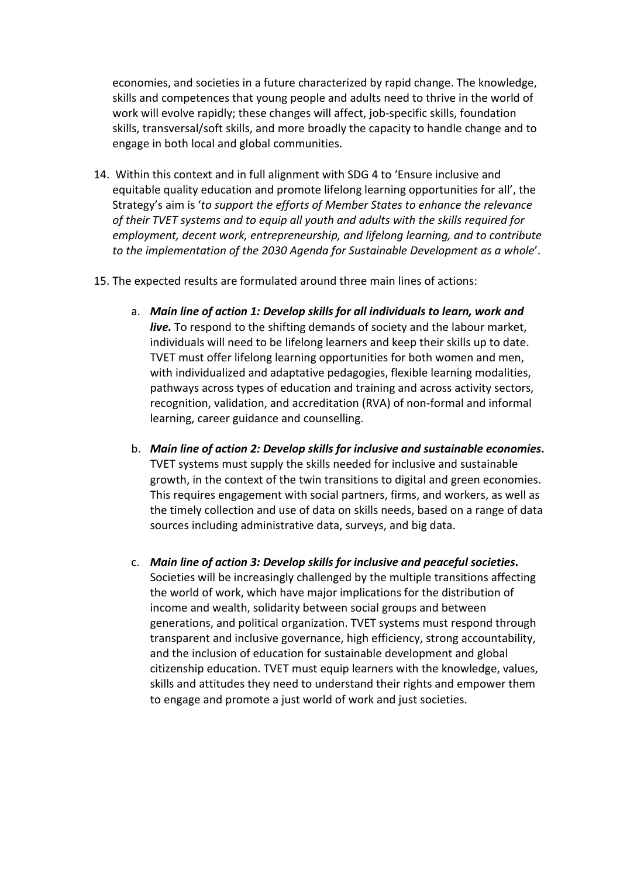economies, and societies in a future characterized by rapid change. The knowledge, skills and competences that young people and adults need to thrive in the world of work will evolve rapidly; these changes will affect, job-specific skills, foundation skills, transversal/soft skills, and more broadly the capacity to handle change and to engage in both local and global communities.

- 14. Within this context and in full alignment with SDG 4 to 'Ensure inclusive and equitable quality education and promote lifelong learning opportunities for all', the Strategy's aim is '*to support the efforts of Member States to enhance the relevance of their TVET systems and to equip all youth and adults with the skills required for employment, decent work, entrepreneurship, and lifelong learning, and to contribute to the implementation of the 2030 Agenda for Sustainable Development as a whole*'.
- 15. The expected results are formulated around three main lines of actions:
	- a. *Main line of action 1: Develop skills for all individuals to learn, work and live.* To respond to the shifting demands of society and the labour market, individuals will need to be lifelong learners and keep their skills up to date. TVET must offer lifelong learning opportunities for both women and men, with individualized and adaptative pedagogies, flexible learning modalities, pathways across types of education and training and across activity sectors, recognition, validation, and accreditation (RVA) of non-formal and informal learning, career guidance and counselling.
	- b. *Main line of action 2: Develop skills for inclusive and sustainable economies***.** TVET systems must supply the skills needed for inclusive and sustainable growth, in the context of the twin transitions to digital and green economies. This requires engagement with social partners, firms, and workers, as well as the timely collection and use of data on skills needs, based on a range of data sources including administrative data, surveys, and big data.
	- c. *Main line of action 3: Develop skills for inclusive and peaceful societies***.** Societies will be increasingly challenged by the multiple transitions affecting the world of work, which have major implications for the distribution of income and wealth, solidarity between social groups and between generations, and political organization. TVET systems must respond through transparent and inclusive governance, high efficiency, strong accountability, and the inclusion of education for sustainable development and global citizenship education. TVET must equip learners with the knowledge, values, skills and attitudes they need to understand their rights and empower them to engage and promote a just world of work and just societies.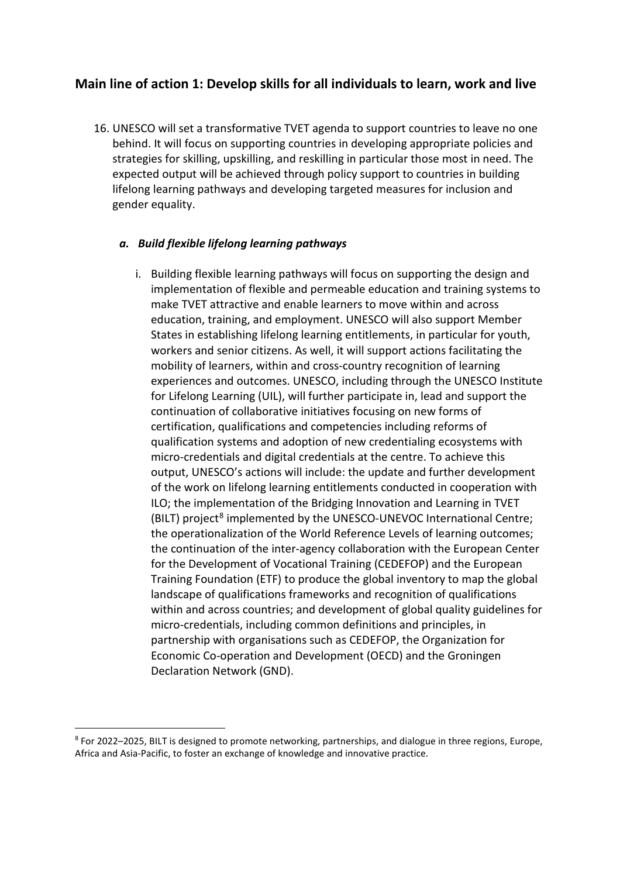### **Main line of action 1: Develop skills for all individuals to learn, work and live**

16. UNESCO will set a transformative TVET agenda to support countries to leave no one behind. It will focus on supporting countries in developing appropriate policies and strategies for skilling, upskilling, and reskilling in particular those most in need. The expected output will be achieved through policy support to countries in building lifelong learning pathways and developing targeted measures for inclusion and gender equality.

### *a. Build flexible lifelong learning pathways*

i. Building flexible learning pathways will focus on supporting the design and implementation of flexible and permeable education and training systems to make TVET attractive and enable learners to move within and across education, training, and employment. UNESCO will also support Member States in establishing lifelong learning entitlements, in particular for youth, workers and senior citizens. As well, it will support actions facilitating the mobility of learners, within and cross-country recognition of learning experiences and outcomes. UNESCO, including through the UNESCO Institute for Lifelong Learning (UIL), will further participate in, lead and support the continuation of collaborative initiatives focusing on new forms of certification, qualifications and competencies including reforms of qualification systems and adoption of new credentialing ecosystems with micro-credentials and digital credentials at the centre. To achieve this output, UNESCO's actions will include: the update and further development of the work on lifelong learning entitlements conducted in cooperation with ILO; the implementation of the Bridging Innovation and Learning in TVET (BILT) project<sup>[8](#page-6-0)</sup> implemented by the UNESCO-UNEVOC International Centre; the operationalization of the World Reference Levels of learning outcomes; the continuation of the inter-agency collaboration with the European Center for the Development of Vocational Training (CEDEFOP) and the European Training Foundation (ETF) to produce the global inventory to map the global landscape of qualifications frameworks and recognition of qualifications within and across countries; and development of global quality guidelines for micro-credentials, including common definitions and principles, in partnership with organisations such as CEDEFOP, the Organization for Economic Co-operation and Development (OECD) and the Groningen Declaration Network (GND).

<span id="page-6-0"></span><sup>8</sup> For 2022–2025, BILT is designed to promote networking, partnerships, and dialogue in three regions, Europe, Africa and Asia-Pacific, to foster an exchange of knowledge and innovative practice.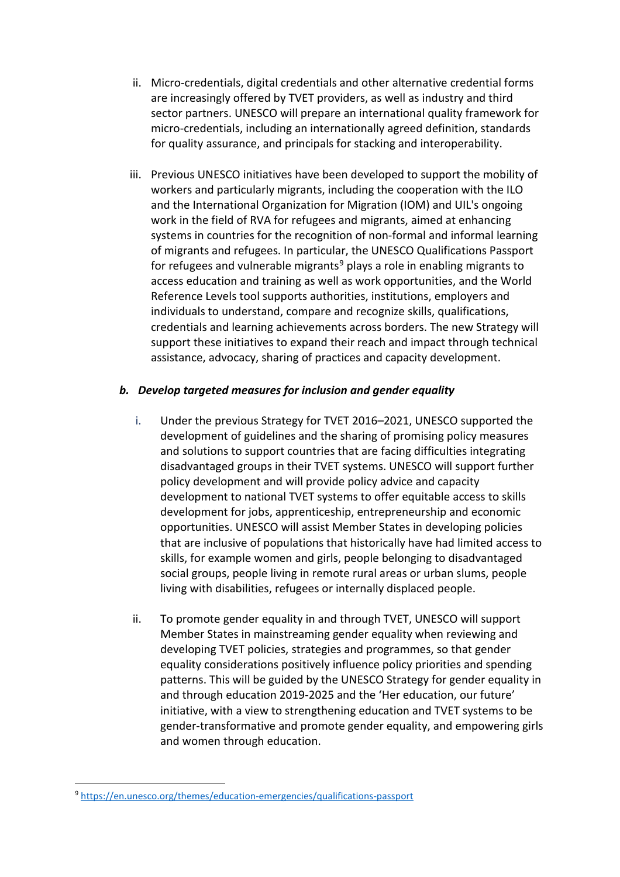- ii. Micro-credentials, digital credentials and other alternative credential forms are increasingly offered by TVET providers, as well as industry and third sector partners. UNESCO will prepare an international quality framework for micro-credentials, including an internationally agreed definition, standards for quality assurance, and principals for stacking and interoperability.
- iii. Previous UNESCO initiatives have been developed to support the mobility of workers and particularly migrants, including the cooperation with the ILO and the International Organization for Migration (IOM) and UIL's ongoing work in the field of RVA for refugees and migrants, aimed at enhancing systems in countries for the recognition of non-formal and informal learning of migrants and refugees. In particular, the UNESCO Qualifications Passport for refugees and vulnerable migrants<sup>[9](#page-7-0)</sup> plays a role in enabling migrants to access education and training as well as work opportunities, and the World Reference Levels tool supports authorities, institutions, employers and individuals to understand, compare and recognize skills, qualifications, credentials and learning achievements across borders. The new Strategy will support these initiatives to expand their reach and impact through technical assistance, advocacy, sharing of practices and capacity development.

### *b. Develop targeted measures for inclusion and gender equality*

- i. Under the previous Strategy for TVET 2016–2021, UNESCO supported the development of guidelines and the sharing of promising policy measures and solutions to support countries that are facing difficulties integrating disadvantaged groups in their TVET systems. UNESCO will support further policy development and will provide policy advice and capacity development to national TVET systems to offer equitable access to skills development for jobs, apprenticeship, entrepreneurship and economic opportunities. UNESCO will assist Member States in developing policies that are inclusive of populations that historically have had limited access to skills, for example women and girls, people belonging to disadvantaged social groups, people living in remote rural areas or urban slums, people living with disabilities, refugees or internally displaced people.
- ii. To promote gender equality in and through TVET, UNESCO will support Member States in mainstreaming gender equality when reviewing and developing TVET policies, strategies and programmes, so that gender equality considerations positively influence policy priorities and spending patterns. This will be guided by the UNESCO Strategy for gender equality in and through education 2019-2025 and the 'Her education, our future' initiative, with a view to strengthening education and TVET systems to be gender-transformative and promote gender equality, and empowering girls and women through education.

<span id="page-7-0"></span><sup>9</sup> <https://en.unesco.org/themes/education-emergencies/qualifications-passport>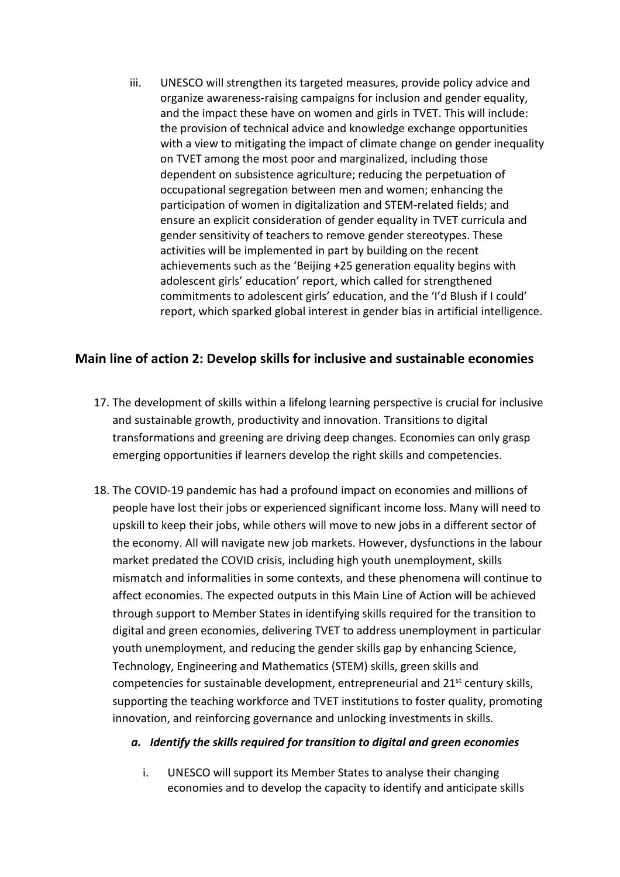iii. UNESCO will strengthen its targeted measures, provide policy advice and organize awareness-raising campaigns for inclusion and gender equality, and the impact these have on women and girls in TVET. This will include: the provision of technical advice and knowledge exchange opportunities with a view to mitigating the impact of climate change on gender inequality on TVET among the most poor and marginalized, including those dependent on subsistence agriculture; reducing the perpetuation of occupational segregation between men and women; enhancing the participation of women in digitalization and STEM-related fields; and ensure an explicit consideration of gender equality in TVET curricula and gender sensitivity of teachers to remove gender stereotypes. These activities will be implemented in part by building on the recent achievements such as the 'Beijing +25 generation equality begins with adolescent girls' education' report, which called for strengthened commitments to adolescent girls' education, and the 'I'd Blush if I could' report, which sparked global interest in gender bias in artificial intelligence.

### **Main line of action 2: Develop skills for inclusive and sustainable economies**

- 17. The development of skills within a lifelong learning perspective is crucial for inclusive and sustainable growth, productivity and innovation. Transitions to digital transformations and greening are driving deep changes. Economies can only grasp emerging opportunities if learners develop the right skills and competencies.
- 18. The COVID-19 pandemic has had a profound impact on economies and millions of people have lost their jobs or experienced significant income loss. Many will need to upskill to keep their jobs, while others will move to new jobs in a different sector of the economy. All will navigate new job markets. However, dysfunctions in the labour market predated the COVID crisis, including high youth unemployment, skills mismatch and informalities in some contexts, and these phenomena will continue to affect economies. The expected outputs in this Main Line of Action will be achieved through support to Member States in identifying skills required for the transition to digital and green economies, delivering TVET to address unemployment in particular youth unemployment, and reducing the gender skills gap by enhancing Science, Technology, Engineering and Mathematics (STEM) skills, green skills and competencies for sustainable development, entrepreneurial and 21<sup>st</sup> century skills, supporting the teaching workforce and TVET institutions to foster quality, promoting innovation, and reinforcing governance and unlocking investments in skills.

### *a. Identify the skills required for transition to digital and green economies*

i. UNESCO will support its Member States to analyse their changing economies and to develop the capacity to identify and anticipate skills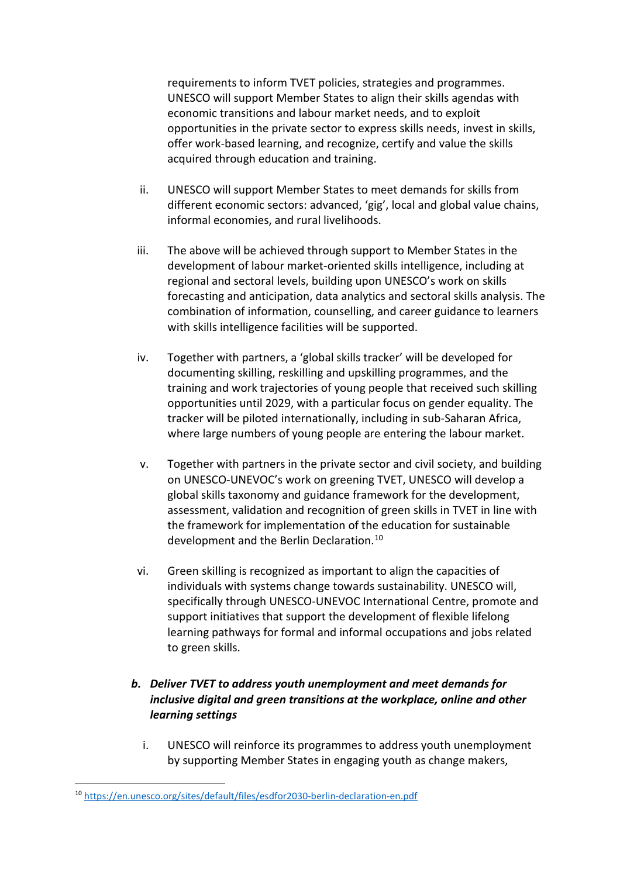requirements to inform TVET policies, strategies and programmes. UNESCO will support Member States to align their skills agendas with economic transitions and labour market needs, and to exploit opportunities in the private sector to express skills needs, invest in skills, offer work-based learning, and recognize, certify and value the skills acquired through education and training.

- ii. UNESCO will support Member States to meet demands for skills from different economic sectors: advanced, 'gig', local and global value chains, informal economies, and rural livelihoods.
- iii. The above will be achieved through support to Member States in the development of labour market-oriented skills intelligence, including at regional and sectoral levels, building upon UNESCO's work on skills forecasting and anticipation, data analytics and sectoral skills analysis. The combination of information, counselling, and career guidance to learners with skills intelligence facilities will be supported.
- iv. Together with partners, a 'global skills tracker' will be developed for documenting skilling, reskilling and upskilling programmes, and the training and work trajectories of young people that received such skilling opportunities until 2029, with a particular focus on gender equality. The tracker will be piloted internationally, including in sub-Saharan Africa, where large numbers of young people are entering the labour market.
- v. Together with partners in the private sector and civil society, and building on UNESCO-UNEVOC's work on greening TVET, UNESCO will develop a global skills taxonomy and guidance framework for the development, assessment, validation and recognition of green skills in TVET in line with the framework for implementation of the education for sustainable development and the Berlin Declaration.<sup>[10](#page-9-0)</sup>
- vi. Green skilling is recognized as important to align the capacities of individuals with systems change towards sustainability. UNESCO will, specifically through UNESCO-UNEVOC International Centre, promote and support initiatives that support the development of flexible lifelong learning pathways for formal and informal occupations and jobs related to green skills.

### *b. Deliver TVET to address youth unemployment and meet demands for inclusive digital and green transitions at the workplace, online and other learning settings*

i. UNESCO will reinforce its programmes to address youth unemployment by supporting Member States in engaging youth as change makers,

<span id="page-9-0"></span><sup>10</sup> <https://en.unesco.org/sites/default/files/esdfor2030-berlin-declaration-en.pdf>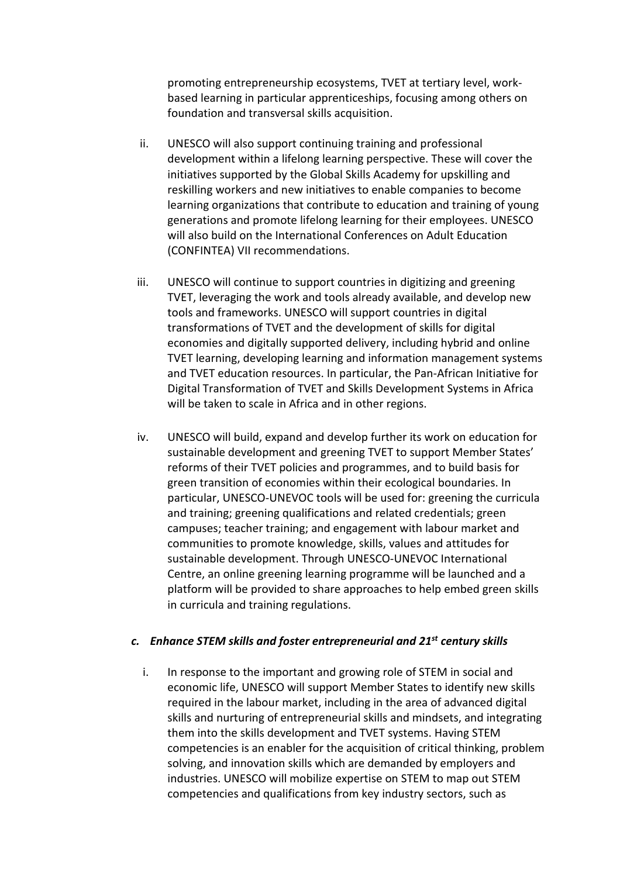promoting entrepreneurship ecosystems, TVET at tertiary level, workbased learning in particular apprenticeships, focusing among others on foundation and transversal skills acquisition.

- ii. UNESCO will also support continuing training and professional development within a lifelong learning perspective. These will cover the initiatives supported by the Global Skills Academy for upskilling and reskilling workers and new initiatives to enable companies to become learning organizations that contribute to education and training of young generations and promote lifelong learning for their employees. UNESCO will also build on the International Conferences on Adult Education (CONFINTEA) VII recommendations.
- iii. UNESCO will continue to support countries in digitizing and greening TVET, leveraging the work and tools already available, and develop new tools and frameworks. UNESCO will support countries in digital transformations of TVET and the development of skills for digital economies and digitally supported delivery, including hybrid and online TVET learning, developing learning and information management systems and TVET education resources. In particular, the Pan-African Initiative for Digital Transformation of TVET and Skills Development Systems in Africa will be taken to scale in Africa and in other regions.
- iv. UNESCO will build, expand and develop further its work on education for sustainable development and greening TVET to support Member States' reforms of their TVET policies and programmes, and to build basis for green transition of economies within their ecological boundaries. In particular, UNESCO-UNEVOC tools will be used for: greening the curricula and training; greening qualifications and related credentials; green campuses; teacher training; and engagement with labour market and communities to promote knowledge, skills, values and attitudes for sustainable development. Through UNESCO-UNEVOC International Centre, an online greening learning programme will be launched and a platform will be provided to share approaches to help embed green skills in curricula and training regulations.

#### *c. Enhance STEM skills and foster entrepreneurial and 21st century skills*

i. In response to the important and growing role of STEM in social and economic life, UNESCO will support Member States to identify new skills required in the labour market, including in the area of advanced digital skills and nurturing of entrepreneurial skills and mindsets, and integrating them into the skills development and TVET systems. Having STEM competencies is an enabler for the acquisition of critical thinking, problem solving, and innovation skills which are demanded by employers and industries. UNESCO will mobilize expertise on STEM to map out STEM competencies and qualifications from key industry sectors, such as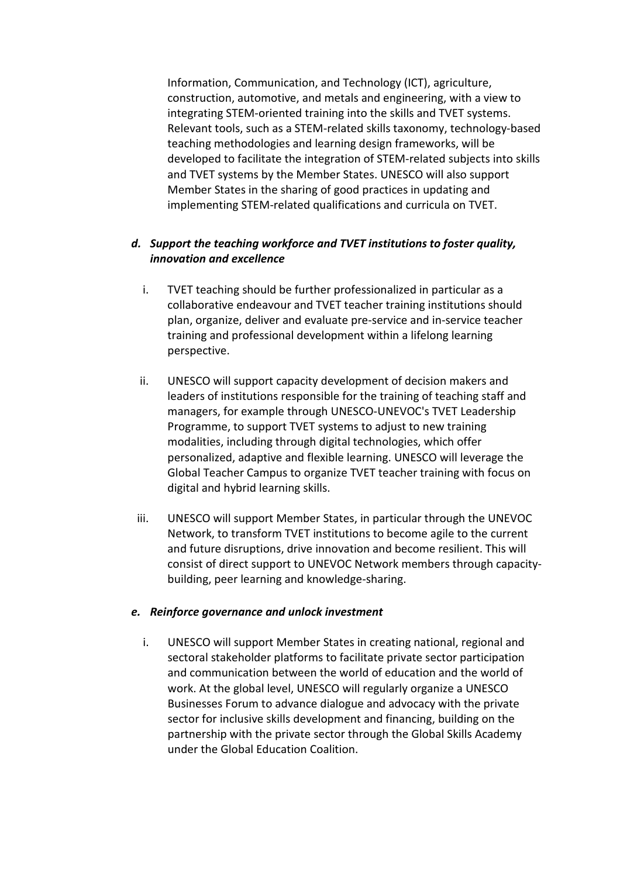Information, Communication, and Technology (ICT), agriculture, construction, automotive, and metals and engineering, with a view to integrating STEM-oriented training into the skills and TVET systems. Relevant tools, such as a STEM-related skills taxonomy, technology-based teaching methodologies and learning design frameworks, will be developed to facilitate the integration of STEM-related subjects into skills and TVET systems by the Member States. UNESCO will also support Member States in the sharing of good practices in updating and implementing STEM-related qualifications and curricula on TVET.

### *d. Support the teaching workforce and TVET institutions to foster quality, innovation and excellence*

- i. TVET teaching should be further professionalized in particular as a collaborative endeavour and TVET teacher training institutions should plan, organize, deliver and evaluate pre-service and in-service teacher training and professional development within a lifelong learning perspective.
- ii. UNESCO will support capacity development of decision makers and leaders of institutions responsible for the training of teaching staff and managers, for example through UNESCO-UNEVOC's TVET Leadership Programme, to support TVET systems to adjust to new training modalities, including through digital technologies, which offer personalized, adaptive and flexible learning. UNESCO will leverage the Global Teacher Campus to organize TVET teacher training with focus on digital and hybrid learning skills.
- iii. UNESCO will support Member States, in particular through the UNEVOC Network, to transform TVET institutions to become agile to the current and future disruptions, drive innovation and become resilient. This will consist of direct support to UNEVOC Network members through capacitybuilding, peer learning and knowledge-sharing.

#### *e. Reinforce governance and unlock investment*

i. UNESCO will support Member States in creating national, regional and sectoral stakeholder platforms to facilitate private sector participation and communication between the world of education and the world of work. At the global level, UNESCO will regularly organize a UNESCO Businesses Forum to advance dialogue and advocacy with the private sector for inclusive skills development and financing, building on the partnership with the private sector through the Global Skills Academy under the Global Education Coalition.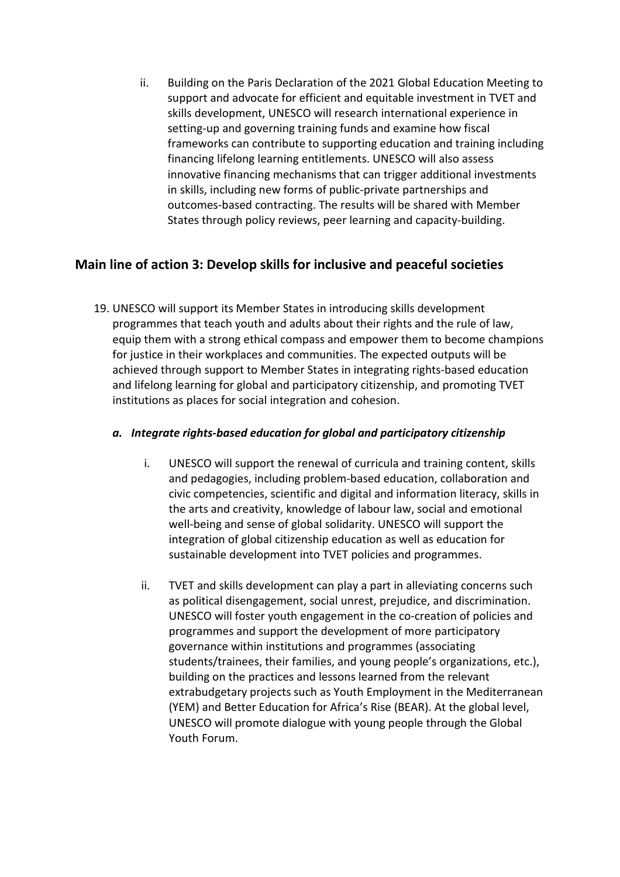ii. Building on the Paris Declaration of the 2021 Global Education Meeting to support and advocate for efficient and equitable investment in TVET and skills development, UNESCO will research international experience in setting-up and governing training funds and examine how fiscal frameworks can contribute to supporting education and training including financing lifelong learning entitlements. UNESCO will also assess innovative financing mechanisms that can trigger additional investments in skills, including new forms of public-private partnerships and outcomes-based contracting. The results will be shared with Member States through policy reviews, peer learning and capacity-building.

### **Main line of action 3: Develop skills for inclusive and peaceful societies**

19. UNESCO will support its Member States in introducing skills development programmes that teach youth and adults about their rights and the rule of law, equip them with a strong ethical compass and empower them to become champions for justice in their workplaces and communities. The expected outputs will be achieved through support to Member States in integrating rights-based education and lifelong learning for global and participatory citizenship, and promoting TVET institutions as places for social integration and cohesion.

### *a. Integrate rights-based education for global and participatory citizenship*

- i. UNESCO will support the renewal of curricula and training content, skills and pedagogies, including problem-based education, collaboration and civic competencies, scientific and digital and information literacy, skills in the arts and creativity, knowledge of labour law, social and emotional well-being and sense of global solidarity. UNESCO will support the integration of global citizenship education as well as education for sustainable development into TVET policies and programmes.
- ii. TVET and skills development can play a part in alleviating concerns such as political disengagement, social unrest, prejudice, and discrimination. UNESCO will foster youth engagement in the co-creation of policies and programmes and support the development of more participatory governance within institutions and programmes (associating students/trainees, their families, and young people's organizations, etc.), building on the practices and lessons learned from the relevant extrabudgetary projects such as Youth Employment in the Mediterranean (YEM) and Better Education for Africa's Rise (BEAR). At the global level, UNESCO will promote dialogue with young people through the Global Youth Forum.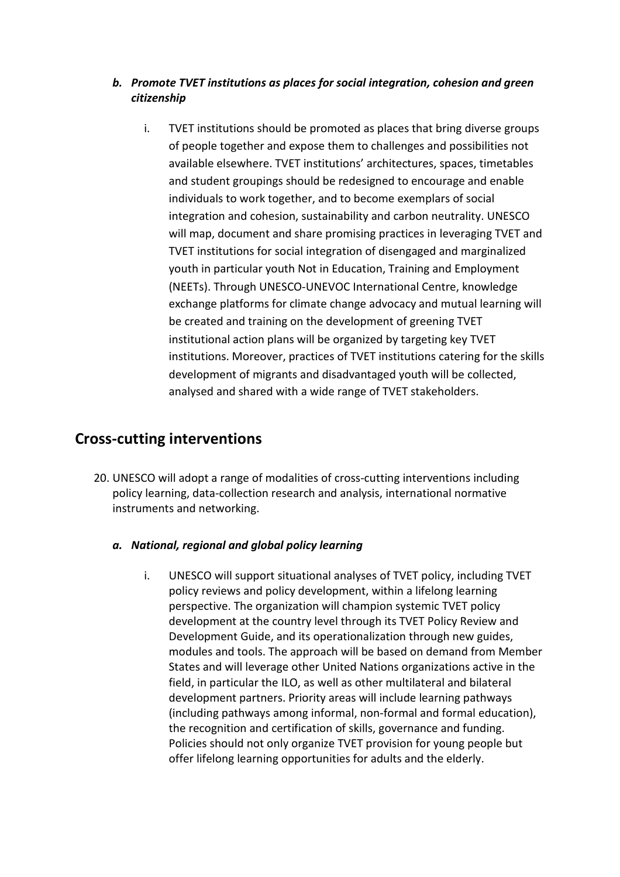### *b. Promote TVET institutions as places for social integration, cohesion and green citizenship*

i. TVET institutions should be promoted as places that bring diverse groups of people together and expose them to challenges and possibilities not available elsewhere. TVET institutions' architectures, spaces, timetables and student groupings should be redesigned to encourage and enable individuals to work together, and to become exemplars of social integration and cohesion, sustainability and carbon neutrality. UNESCO will map, document and share promising practices in leveraging TVET and TVET institutions for social integration of disengaged and marginalized youth in particular youth Not in Education, Training and Employment (NEETs). Through UNESCO-UNEVOC International Centre, knowledge exchange platforms for climate change advocacy and mutual learning will be created and training on the development of greening TVET institutional action plans will be organized by targeting key TVET institutions. Moreover, practices of TVET institutions catering for the skills development of migrants and disadvantaged youth will be collected, analysed and shared with a wide range of TVET stakeholders.

# **Cross-cutting interventions**

20. UNESCO will adopt a range of modalities of cross-cutting interventions including policy learning, data-collection research and analysis, international normative instruments and networking.

### *a. National, regional and global policy learning*

i. UNESCO will support situational analyses of TVET policy, including TVET policy reviews and policy development, within a lifelong learning perspective. The organization will champion systemic TVET policy development at the country level through its TVET Policy Review and Development Guide, and its operationalization through new guides, modules and tools. The approach will be based on demand from Member States and will leverage other United Nations organizations active in the field, in particular the ILO, as well as other multilateral and bilateral development partners. Priority areas will include learning pathways (including pathways among informal, non-formal and formal education), the recognition and certification of skills, governance and funding. Policies should not only organize TVET provision for young people but offer lifelong learning opportunities for adults and the elderly.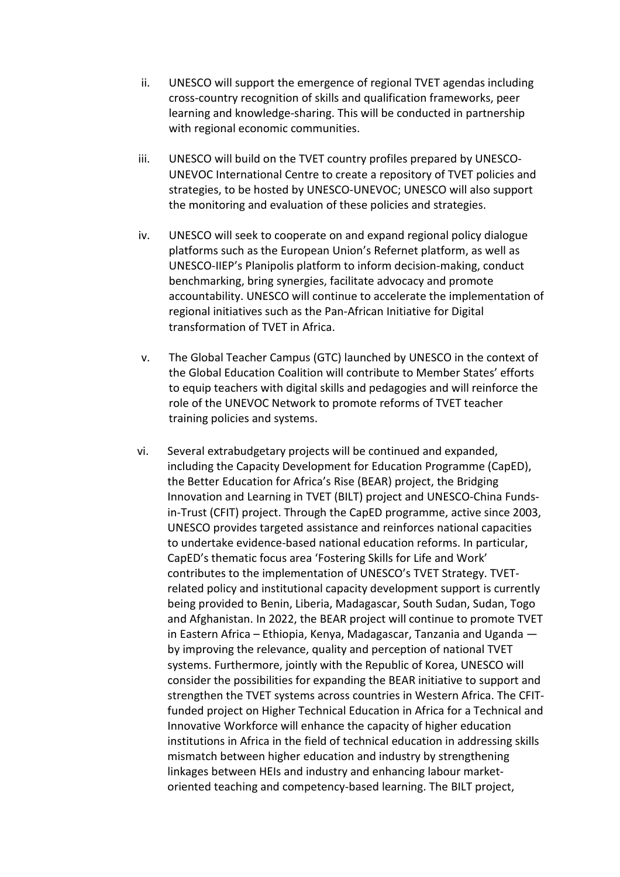- ii. UNESCO will support the emergence of regional TVET agendas including cross-country recognition of skills and qualification frameworks, peer learning and knowledge-sharing. This will be conducted in partnership with regional economic communities.
- iii. UNESCO will build on the TVET country profiles prepared by UNESCO-UNEVOC International Centre to create a repository of TVET policies and strategies, to be hosted by UNESCO-UNEVOC; UNESCO will also support the monitoring and evaluation of these policies and strategies.
- iv. UNESCO will seek to cooperate on and expand regional policy dialogue platforms such as the European Union's Refernet platform, as well as UNESCO-IIEP's Planipolis platform to inform decision-making, conduct benchmarking, bring synergies, facilitate advocacy and promote accountability. UNESCO will continue to accelerate the implementation of regional initiatives such as the Pan-African Initiative for Digital transformation of TVET in Africa.
- v. The Global Teacher Campus (GTC) launched by UNESCO in the context of the Global Education Coalition will contribute to Member States' efforts to equip teachers with digital skills and pedagogies and will reinforce the role of the UNEVOC Network to promote reforms of TVET teacher training policies and systems.
- vi. Several extrabudgetary projects will be continued and expanded, including the Capacity Development for Education Programme (CapED), the Better Education for Africa's Rise (BEAR) project, the Bridging Innovation and Learning in TVET (BILT) project and UNESCO-China Fundsin-Trust (CFIT) project. Through the CapED programme, active since 2003, UNESCO provides targeted assistance and reinforces national capacities to undertake evidence-based national education reforms. In particular, CapED's thematic focus area 'Fostering Skills for Life and Work' contributes to the implementation of UNESCO's TVET Strategy. TVETrelated policy and institutional capacity development support is currently being provided to Benin, Liberia, Madagascar, South Sudan, Sudan, Togo and Afghanistan. In 2022, the BEAR project will continue to promote TVET in Eastern Africa – Ethiopia, Kenya, Madagascar, Tanzania and Uganda by improving the relevance, quality and perception of national TVET systems. Furthermore, jointly with the Republic of Korea, UNESCO will consider the possibilities for expanding the BEAR initiative to support and strengthen the TVET systems across countries in Western Africa. The CFITfunded project on Higher Technical Education in Africa for a Technical and Innovative Workforce will enhance the capacity of higher education institutions in Africa in the field of technical education in addressing skills mismatch between higher education and industry by strengthening linkages between HEIs and industry and enhancing labour marketoriented teaching and competency-based learning. The BILT project,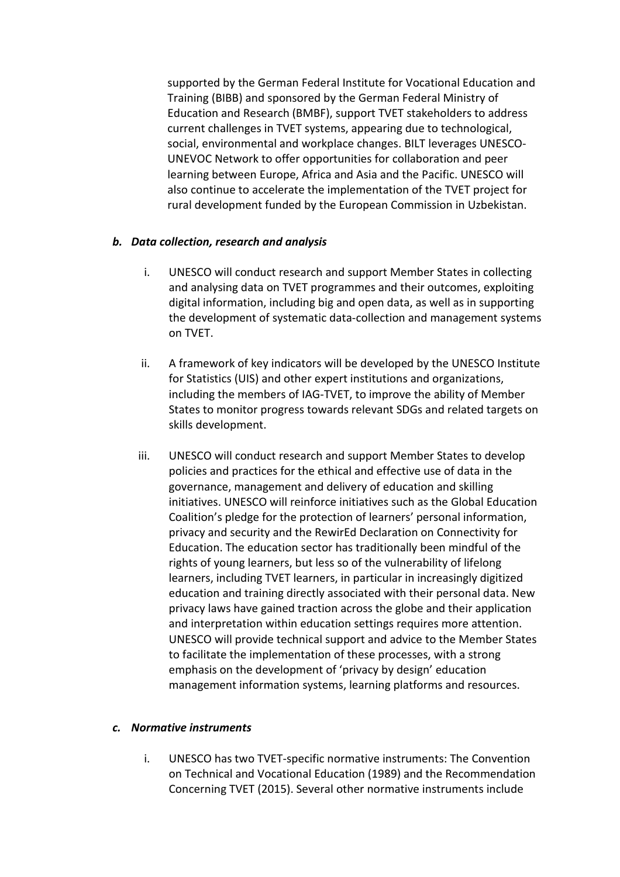supported by the German Federal Institute for Vocational Education and Training (BIBB) and sponsored by the German Federal Ministry of Education and Research (BMBF), support TVET stakeholders to address current challenges in TVET systems, appearing due to technological, social, environmental and workplace changes. BILT leverages UNESCO-UNEVOC Network to offer opportunities for collaboration and peer learning between Europe, Africa and Asia and the Pacific. UNESCO will also continue to accelerate the implementation of the TVET project for rural development funded by the European Commission in Uzbekistan.

### *b. Data collection, research and analysis*

- i. UNESCO will conduct research and support Member States in collecting and analysing data on TVET programmes and their outcomes, exploiting digital information, including big and open data, as well as in supporting the development of systematic data-collection and management systems on TVET.
- ii. A framework of key indicators will be developed by the UNESCO Institute for Statistics (UIS) and other expert institutions and organizations, including the members of IAG-TVET, to improve the ability of Member States to monitor progress towards relevant SDGs and related targets on skills development.
- iii. UNESCO will conduct research and support Member States to develop policies and practices for the ethical and effective use of data in the governance, management and delivery of education and skilling initiatives. UNESCO will reinforce initiatives such as the Global Education Coalition's pledge for the protection of learners' personal information, privacy and security and the RewirEd Declaration on Connectivity for Education. The education sector has traditionally been mindful of the rights of young learners, but less so of the vulnerability of lifelong learners, including TVET learners, in particular in increasingly digitized education and training directly associated with their personal data. New privacy laws have gained traction across the globe and their application and interpretation within education settings requires more attention. UNESCO will provide technical support and advice to the Member States to facilitate the implementation of these processes, with a strong emphasis on the development of 'privacy by design' education management information systems, learning platforms and resources.

#### *c. Normative instruments*

i. UNESCO has two TVET-specific normative instruments: The Convention on Technical and Vocational Education (1989) and the Recommendation Concerning TVET (2015). Several other normative instruments include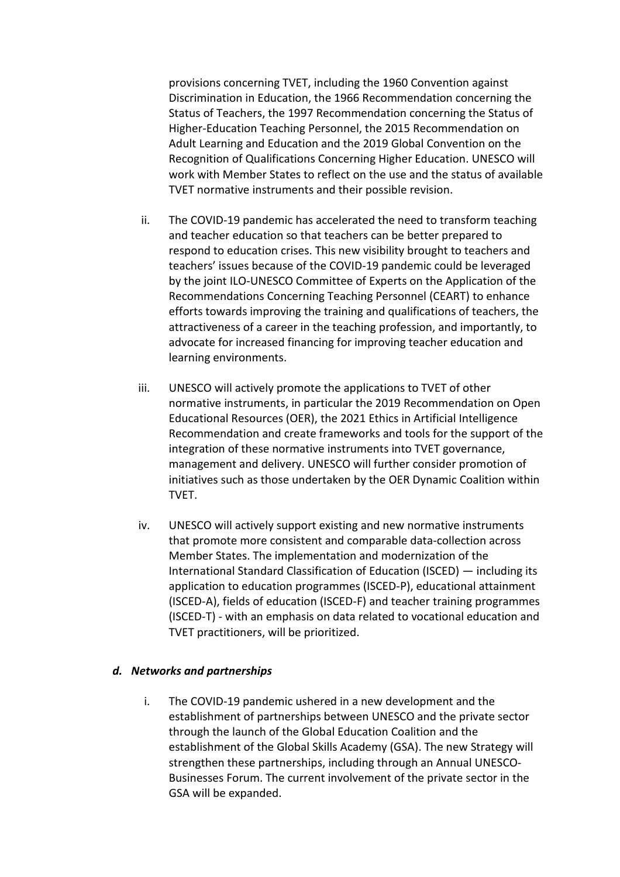provisions concerning TVET, including the 1960 Convention against Discrimination in Education, the 1966 Recommendation concerning the Status of Teachers, the 1997 Recommendation concerning the Status of Higher-Education Teaching Personnel, the 2015 Recommendation on Adult Learning and Education and the 2019 Global Convention on the Recognition of Qualifications Concerning Higher Education. UNESCO will work with Member States to reflect on the use and the status of available TVET normative instruments and their possible revision.

- ii. The COVID-19 pandemic has accelerated the need to transform teaching and teacher education so that teachers can be better prepared to respond to education crises. This new visibility brought to teachers and teachers' issues because of the COVID-19 pandemic could be leveraged by the joint ILO-UNESCO Committee of Experts on the Application of the Recommendations Concerning Teaching Personnel (CEART) to enhance efforts towards improving the training and qualifications of teachers, the attractiveness of a career in the teaching profession, and importantly, to advocate for increased financing for improving teacher education and learning environments.
- iii. UNESCO will actively promote the applications to TVET of other normative instruments, in particular the 2019 Recommendation on Open Educational Resources (OER), the 2021 Ethics in Artificial Intelligence Recommendation and create frameworks and tools for the support of the integration of these normative instruments into TVET governance, management and delivery. UNESCO will further consider promotion of initiatives such as those undertaken by the OER Dynamic Coalition within TVET.
- iv. UNESCO will actively support existing and new normative instruments that promote more consistent and comparable data-collection across Member States. The implementation and modernization of the International Standard Classification of Education (ISCED) — including its application to education programmes (ISCED-P), educational attainment (ISCED-A), fields of education (ISCED-F) and teacher training programmes (ISCED-T) - with an emphasis on data related to vocational education and TVET practitioners, will be prioritized.

#### *d. Networks and partnerships*

i. The COVID-19 pandemic ushered in a new development and the establishment of partnerships between UNESCO and the private sector through the launch of the Global Education Coalition and the establishment of the Global Skills Academy (GSA). The new Strategy will strengthen these partnerships, including through an Annual UNESCO-Businesses Forum. The current involvement of the private sector in the GSA will be expanded.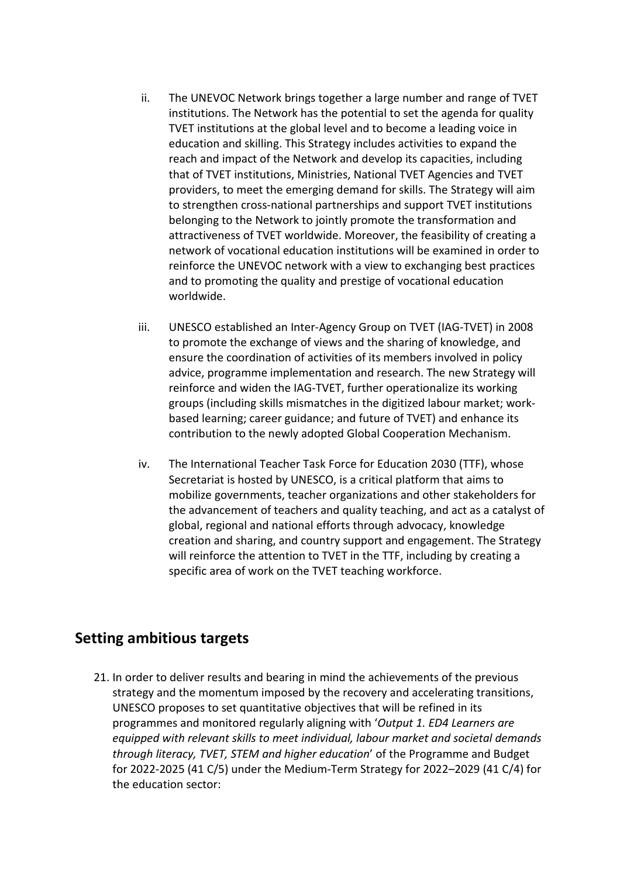- ii. The UNEVOC Network brings together a large number and range of TVET institutions. The Network has the potential to set the agenda for quality TVET institutions at the global level and to become a leading voice in education and skilling. This Strategy includes activities to expand the reach and impact of the Network and develop its capacities, including that of TVET institutions, Ministries, National TVET Agencies and TVET providers, to meet the emerging demand for skills. The Strategy will aim to strengthen cross-national partnerships and support TVET institutions belonging to the Network to jointly promote the transformation and attractiveness of TVET worldwide. Moreover, the feasibility of creating a network of vocational education institutions will be examined in order to reinforce the UNEVOC network with a view to exchanging best practices and to promoting the quality and prestige of vocational education worldwide.
- iii. UNESCO established an Inter-Agency Group on TVET (IAG-TVET) in 2008 to promote the exchange of views and the sharing of knowledge, and ensure the coordination of activities of its members involved in policy advice, programme implementation and research. The new Strategy will reinforce and widen the IAG-TVET, further operationalize its working groups (including skills mismatches in the digitized labour market; workbased learning; career guidance; and future of TVET) and enhance its contribution to the newly adopted Global Cooperation Mechanism.
- iv. The International Teacher Task Force for Education 2030 (TTF), whose Secretariat is hosted by UNESCO, is a critical platform that aims to mobilize governments, teacher organizations and other stakeholders for the advancement of teachers and quality teaching, and act as a catalyst of global, regional and national efforts through advocacy, knowledge creation and sharing, and country support and engagement. The Strategy will reinforce the attention to TVET in the TTF, including by creating a specific area of work on the TVET teaching workforce.

## **Setting ambitious targets**

21. In order to deliver results and bearing in mind the achievements of the previous strategy and the momentum imposed by the recovery and accelerating transitions, UNESCO proposes to set quantitative objectives that will be refined in its programmes and monitored regularly aligning with '*Output 1. ED4 Learners are equipped with relevant skills to meet individual, labour market and societal demands through literacy, TVET, STEM and higher education*' of the Programme and Budget for 2022-2025 (41 C/5) under the Medium-Term Strategy for 2022–2029 (41 C/4) for the education sector: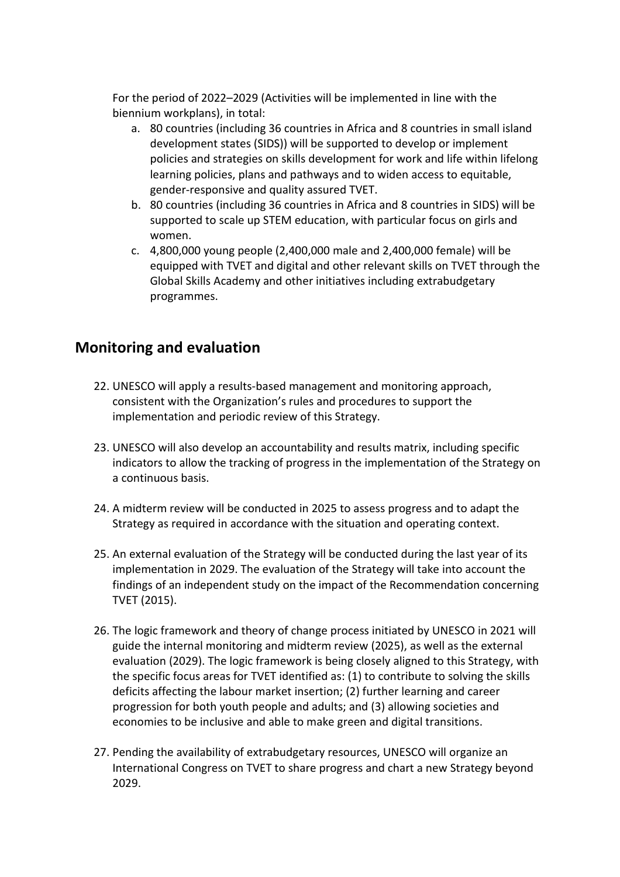For the period of 2022–2029 (Activities will be implemented in line with the biennium workplans), in total:

- a. 80 countries (including 36 countries in Africa and 8 countries in small island development states (SIDS)) will be supported to develop or implement policies and strategies on skills development for work and life within lifelong learning policies, plans and pathways and to widen access to equitable, gender-responsive and quality assured TVET.
- b. 80 countries (including 36 countries in Africa and 8 countries in SIDS) will be supported to scale up STEM education, with particular focus on girls and women.
- c. 4,800,000 young people (2,400,000 male and 2,400,000 female) will be equipped with TVET and digital and other relevant skills on TVET through the Global Skills Academy and other initiatives including extrabudgetary programmes.

# **Monitoring and evaluation**

- 22. UNESCO will apply a results-based management and monitoring approach, consistent with the Organization's rules and procedures to support the implementation and periodic review of this Strategy.
- 23. UNESCO will also develop an accountability and results matrix, including specific indicators to allow the tracking of progress in the implementation of the Strategy on a continuous basis.
- 24. A midterm review will be conducted in 2025 to assess progress and to adapt the Strategy as required in accordance with the situation and operating context.
- 25. An external evaluation of the Strategy will be conducted during the last year of its implementation in 2029. The evaluation of the Strategy will take into account the findings of an independent study on the impact of the Recommendation concerning TVET (2015).
- 26. The logic framework and theory of change process initiated by UNESCO in 2021 will guide the internal monitoring and midterm review (2025), as well as the external evaluation (2029). The logic framework is being closely aligned to this Strategy, with the specific focus areas for TVET identified as: (1) to contribute to solving the skills deficits affecting the labour market insertion; (2) further learning and career progression for both youth people and adults; and (3) allowing societies and economies to be inclusive and able to make green and digital transitions.
- 27. Pending the availability of extrabudgetary resources, UNESCO will organize an International Congress on TVET to share progress and chart a new Strategy beyond 2029.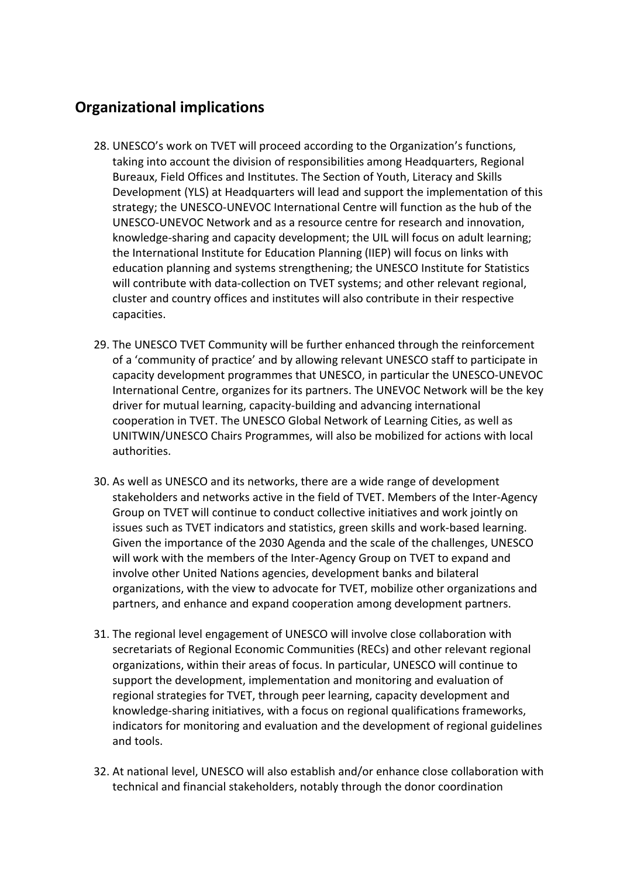# **Organizational implications**

- 28. UNESCO's work on TVET will proceed according to the Organization's functions, taking into account the division of responsibilities among Headquarters, Regional Bureaux, Field Offices and Institutes. The Section of Youth, Literacy and Skills Development (YLS) at Headquarters will lead and support the implementation of this strategy; the UNESCO-UNEVOC International Centre will function as the hub of the UNESCO-UNEVOC Network and as a resource centre for research and innovation, knowledge-sharing and capacity development; the UIL will focus on adult learning; the International Institute for Education Planning (IIEP) will focus on links with education planning and systems strengthening; the UNESCO Institute for Statistics will contribute with data-collection on TVET systems; and other relevant regional, cluster and country offices and institutes will also contribute in their respective capacities.
- 29. The UNESCO TVET Community will be further enhanced through the reinforcement of a 'community of practice' and by allowing relevant UNESCO staff to participate in capacity development programmes that UNESCO, in particular the UNESCO-UNEVOC International Centre, organizes for its partners. The UNEVOC Network will be the key driver for mutual learning, capacity-building and advancing international cooperation in TVET. The UNESCO Global Network of Learning Cities, as well as UNITWIN/UNESCO Chairs Programmes, will also be mobilized for actions with local authorities.
- 30. As well as UNESCO and its networks, there are a wide range of development stakeholders and networks active in the field of TVET. Members of the Inter-Agency Group on TVET will continue to conduct collective initiatives and work jointly on issues such as TVET indicators and statistics, green skills and work-based learning. Given the importance of the 2030 Agenda and the scale of the challenges, UNESCO will work with the members of the Inter-Agency Group on TVET to expand and involve other United Nations agencies, development banks and bilateral organizations, with the view to advocate for TVET, mobilize other organizations and partners, and enhance and expand cooperation among development partners.
- 31. The regional level engagement of UNESCO will involve close collaboration with secretariats of Regional Economic Communities (RECs) and other relevant regional organizations, within their areas of focus. In particular, UNESCO will continue to support the development, implementation and monitoring and evaluation of regional strategies for TVET, through peer learning, capacity development and knowledge-sharing initiatives, with a focus on regional qualifications frameworks, indicators for monitoring and evaluation and the development of regional guidelines and tools.
- 32. At national level, UNESCO will also establish and/or enhance close collaboration with technical and financial stakeholders, notably through the donor coordination